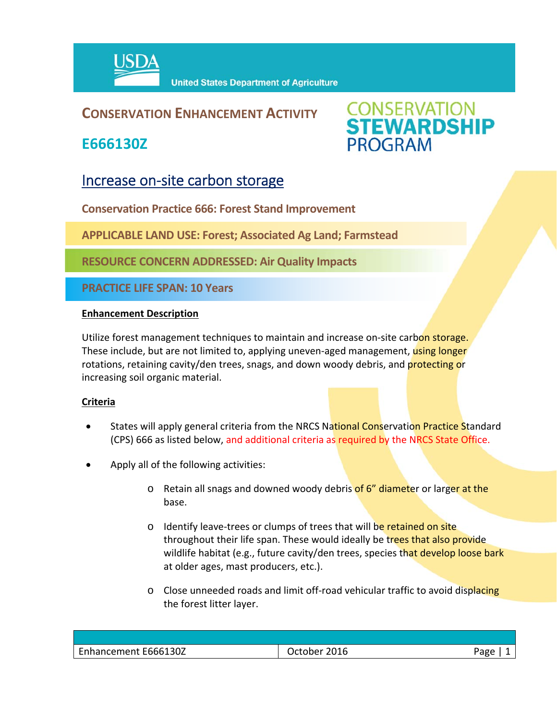

## **CONSERVATION ENHANCEMENT ACTIVITY**

**E666130Z**



# Increase on-site carbon storage

**Conservation Practice 666: Forest Stand Improvement**

**APPLICABLE LAND USE: Forest; Associated Ag Land; Farmstead**

**RESOURCE CONCERN ADDRESSED: Air Quality Impacts**

**PRACTICE LIFE SPAN: 10 Years**

#### **Enhancement Description**

Utilize forest management techniques to maintain and increase on-site carbon storage. These include, but are not limited to, applying uneven-aged management, using longer rotations, retaining cavity/den trees, snags, and down woody debris, and protecting or increasing soil organic material.

#### **Criteria**

- States will apply general criteria from the NRCS National Conservation Practice Standard (CPS) 666 as listed below, and additional criteria as required by the NRCS State Office.
- Apply all of the following activities:
	- o Retain all snags and downed woody debris of 6" diameter or larger at the base.
	- o Identify leave-trees or clumps of trees that will be retained on site throughout their life span. These would ideally be trees that also provide wildlife habitat (e.g., future cavity/den trees, species that develop loose bark at older ages, mast producers, etc.).
	- $\circ$  Close unneeded roads and limit off-road vehicular traffic to avoid displacing the forest litter layer.

| Enhancement E666130Z | 2016<br>ctober | 'age |
|----------------------|----------------|------|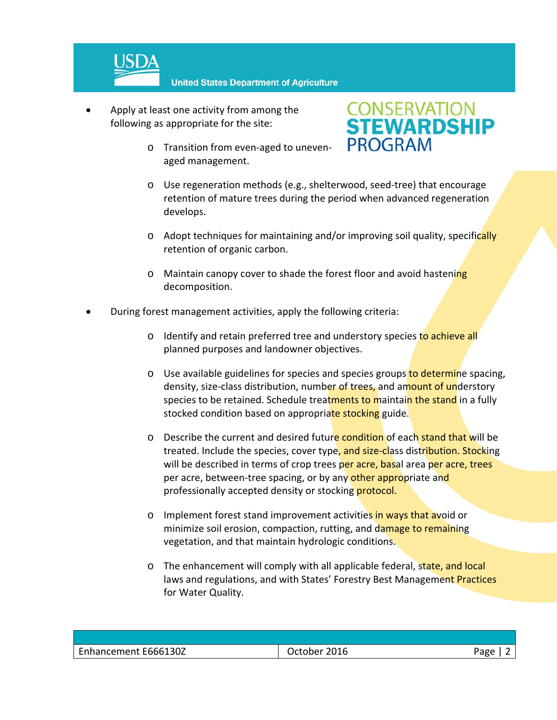

- Apply at least one activity from among the following as appropriate for the site:
	- o Transition from even‐aged to uneven‐ aged management.



- o Use regeneration methods (e.g., shelterwood, seed‐tree) that encourage retention of mature trees during the period when advanced regeneration develops.
- $\circ$  Adopt techniques for maintaining and/or improving soil quality, specifically retention of organic carbon.
- o Maintain canopy cover to shade the forest floor and avoid hastening decomposition.
- During forest management activities, apply the following criteria:
	- o Identify and retain preferred tree and understory species to achieve all planned purposes and landowner objectives.
	- $\circ$  Use available guidelines for species and species groups to determine spacing, density, size-class distribution, number of trees, and amount of understory species to be retained. Schedule treatments to maintain the stand in a fully stocked condition based on appropriate stocking guide.
	- o Describe the current and desired future condition of each stand that will be treated. Include the species, cover type, and size-class distribution. Stocking will be described in terms of crop trees per acre, basal area per acre, trees per acre, between-tree spacing, or by any other appropriate and professionally accepted density or stocking protocol.
	- o Implement forest stand improvement activities in ways that avoid or minimize soil erosion, compaction, rutting, and damage to remaining vegetation, and that maintain hydrologic conditions.
	- o The enhancement will comply with all applicable federal, state, and local laws and regulations, and with States' Forestry Best Management Practices for Water Quality.

| Enhancement E666130Z | 2016<br>October i | age |
|----------------------|-------------------|-----|